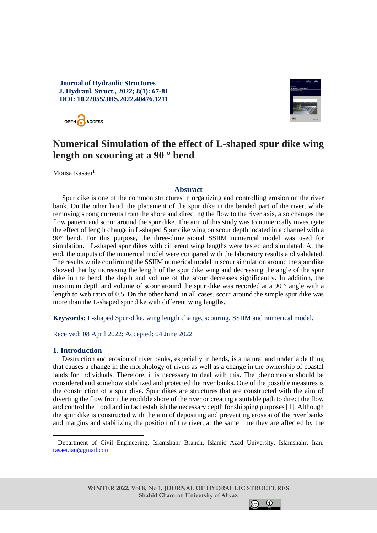# **Journal of Hydraulic Structures J. Hydraul. Struct., 2022; 8(1): 67-81 DOI: 10.22055/JHS.2022.40476.1211**





# **Numerical Simulation of the effect of L-shaped spur dike wing length on scouring at a 90 ° bend**

Mousa Rasaei<sup>1</sup>

## **Abstract**

Spur dike is one of the common structures in organizing and controlling erosion on the river bank. On the other hand, the placement of the spur dike in the bended part of the river, while removing strong currents from the shore and directing the flow to the river axis, also changes the flow pattern and scour around the spur dike. The aim of this study was to numerically investigate the effect of length change in L-shaped Spur dike wing on scour depth located in a channel with a 90**°** bend. For this purpose, the three-dimensional SSIIM numerical model was used for simulation. L-shaped spur dikes with different wing lengths were tested and simulated. At the end, the outputs of the numerical model were compared with the laboratory results and validated. The results while confirming the SSIIM numerical model in scour simulation around the spur dike showed that by increasing the length of the spur dike wing and decreasing the angle of the spur dike in the bend, the depth and volume of the scour decreases significantly. In addition, the maximum depth and volume of scour around the spur dike was recorded at a 90 **°** angle with a length to web ratio of 0.5. On the other hand, in all cases, scour around the simple spur dike was more than the L-shaped spur dike with different wing lengths.

**Keywords:** L-shaped Spur-dike, wing length change, scouring, SSIIM and numerical model.

Received: 08 April 2022; Accepted: 04 June 2022

# **1. Introduction**

Destruction and erosion of river banks, especially in bends, is a natural and undeniable thing that causes a change in the morphology of rivers as well as a change in the ownership of coastal lands for individuals. Therefore, it is necessary to deal with this. The phenomenon should be considered and somehow stabilized and protected the river banks. One of the possible measures is the construction of a spur dike. Spur dikes are structures that are constructed with the aim of diverting the flow from the erodible shore of the river or creating a suitable path to direct the flow and control the flood and in fact establish the necessary depth for shipping purposes [1]. Although the spur dike is constructed with the aim of depositing and preventing erosion of the river banks and margins and stabilizing the position of the river, at the same time they are affected by the



<sup>1</sup> Department of Civil Engineering, Islamshahr Branch, Islamic Azad University, Islamshahr, Iran. [rasaei.iau@gmail.com](mailto:rasaei.iau@gmail.com)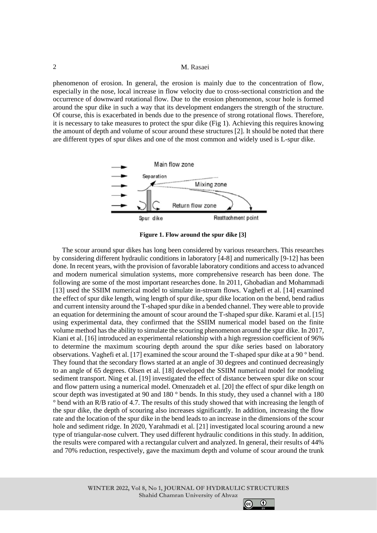phenomenon of erosion. In general, the erosion is mainly due to the concentration of flow, especially in the nose, local increase in flow velocity due to cross-sectional constriction and the occurrence of downward rotational flow. Due to the erosion phenomenon, scour hole is formed around the spur dike in such a way that its development endangers the strength of the structure. Of course, this is exacerbated in bends due to the presence of strong rotational flows. Therefore, it is necessary to take measures to protect the spur dike (Fig 1). Achieving this requires knowing the amount of depth and volume of scour around these structures [2]. It should be noted that there are different types of spur dikes and one of the most common and widely used is L-spur dike.



**Figure 1. Flow around the spur dike [3]**

The scour around spur dikes has long been considered by various researchers. This researches by considering different hydraulic conditions in laboratory [4-8] and numerically [9-12] has been done. In recent years, with the provision of favorable laboratory conditions and access to advanced and modern numerical simulation systems, more comprehensive research has been done. The following are some of the most important researches done. In 2011, [Ghobadian and Mohammadi](https://www.sciencedirect.com/science/article/pii/S1674237015301617#!) [13] used the SSIIM numerical model to simulate in-stream flows. Vaghefi et al. [14] examined the effect of spur dike length, wing length of spur dike, spur dike location on the bend, bend radius and current intensity around the T-shaped spur dike in a bended channel. They were able to provide an equation for determining the amount of scour around the T-shaped spur dike. Karami et al. [15] using experimental data, they confirmed that the SSIIM numerical model based on the finite volume method has the ability to simulate the scouring phenomenon around the spur dike. In 2017, Kiani et al. [16] introduced an experimental relationship with a high regression coefficient of 96% to determine the maximum scouring depth around the spur dike series based on laboratory observations. Vaghefi et al. [17] examined the scour around the T-shaped spur dike at a 90 ° bend. They found that the secondary flows started at an angle of 30 degrees and continued decreasingly to an angle of 65 degrees. Olsen et al. [18] developed the SSIIM numerical model for modeling sediment transport. Ning et al. [19] investigated the effect of distance between spur dike on scour and flow pattern using a numerical model. Omenzadeh et al. [20] the effect of spur dike length on scour depth was investigated at 90 and 180 ° bends. In this study, they used a channel with a 180 ° bend with an R/B ratio of 4.7. The results of this study showed that with increasing the length of the spur dike, the depth of scouring also increases significantly. In addition, increasing the flow rate and the location of the spur dike in the bend leads to an increase in the dimensions of the scour hole and sediment ridge. In 2020, Yarahmadi et al. [21] investigated local scouring around a new type of triangular-nose culvert. They used different hydraulic conditions in this study. In addition, the results were compared with a rectangular culvert and analyzed. In general, their results of 44% and 70% reduction, respectively, gave the maximum depth and volume of scour around the trunk

 $\odot$ 

 $(cc)$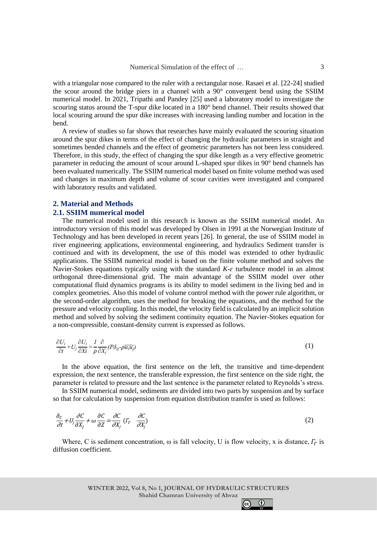with a triangular nose compared to the ruler with a rectangular nose. Rasaei et al. [22-24] studied the scour around the bridge piers in a channel with a 90° convergent bend using the SSIIM numerical model. In 2021, Tripathi and Pandey [25] used a laboratory model to investigate the scouring status around the T-spur dike located in a 180° bend channel. Their results showed that local scouring around the spur dike increases with increasing landing number and location in the bend.

A review of studies so far shows that researches have mainly evaluated the scouring situation around the spur dikes in terms of the effect of changing the hydraulic parameters in straight and sometimes bended channels and the effect of geometric parameters has not been less considered. Therefore, in this study, the effect of changing the spur dike length as a very effective geometric parameter in reducing the amount of scour around L-shaped spur dikes in 90° bend channels has been evaluated numerically. The SSIIM numerical model based on finite volume method was used and changes in maximum depth and volume of scour cavities were investigated and compared with laboratory results and validated.

## **2. Material and Methods 2.1. SSIIM numerical model**

The numerical model used in this research is known as the SSIIM numerical model. An introductory version of this model was developed by Olsen in 1991 at the Norwegian Institute of Technology and has been developed in recent years [26]. In general, the use of SSIIM model in river engineering applications, environmental engineering, and hydraulics Sediment transfer is continued and with its development, the use of this model was extended to other hydraulic applications. The SSIIM numerical model is based on the finite volume method and solves the Navier-Stokes equations typically using with the standard  $K_{\tau} \varepsilon$  turbulence model in an almost orthogonal three-dimensional grid. The main advantage of the SSIIM model over other computational fluid dynamics programs is its ability to model sediment in the living bed and in complex geometries. Also this model of volume control method with the power rule algorithm, or the second-order algorithm, uses the method for breaking the equations, and the method for the pressure and velocity coupling. In this model, the velocity field is calculated by an implicit solution method and solved by solving the sediment continuity equation. The Navier-Stokes equation for a non-compressible, constant-density current is expressed as follows.

$$
\frac{\partial U_i}{\partial t} + U_j \frac{\partial U_i}{\partial X_i} = \frac{1}{\rho} \frac{\partial}{\partial X_i} (P \delta_{ij} - \rho \overline{u_i u_j})
$$
\n(1)

In the above equation, the first sentence on the left, the transitive and time-dependent expression, the next sentence, the transferable expression, the first sentence on the side right, the parameter is related to pressure and the last sentence is the parameter related to Reynolds's stress.

In SSIIM numerical model, sediments are divided into two parts by suspension and by surface so that for calculation by suspension from equation distribution transfer is used as follows:

$$
\frac{\partial_c}{\partial t} + U_j \frac{\partial C}{\partial X_j} + \omega \frac{\partial C}{\partial Z} = \frac{\partial C}{\partial X_j} (I_r \frac{\partial C}{\partial X_j})
$$
\n(2)

Where, C is sediment concentration,  $\omega$  is fall velocity, U is flow velocity, x is distance,  $\Gamma_{\Gamma}$  is diffusion coefficient.

> **WINTER 2022, Vol 8, No 1, JOURNAL OF HYDRAULIC STRUCTURES Shahid Chamran University of Ahvaz**

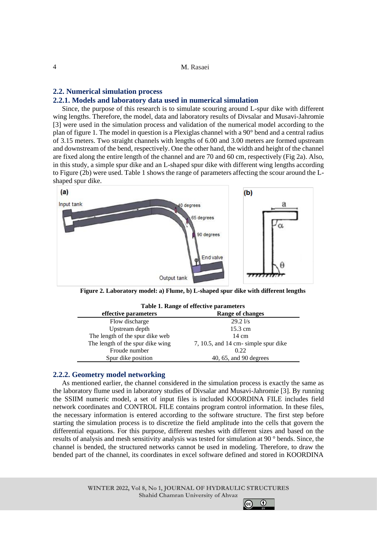## **2.2. Numerical simulation process**

#### **2.2.1. Models and laboratory data used in numerical simulation**

Since, the purpose of this research is to simulate scouring around L-spur dike with different wing lengths. Therefore, the model, data and laboratory results of Divsalar and Musavi-Jahromie [3] were used in the simulation process and validation of the numerical model according to the plan of figure 1. The model in question is a Plexiglas channel with a 90° bend and a central radius of 3.15 meters. Two straight channels with lengths of 6.00 and 3.00 meters are formed upstream and downstream of the bend, respectively. One the other hand, the width and height of the channel are fixed along the entire length of the channel and are 70 and 60 cm, respectively (Fig 2a). Also, in this study, a simple spur dike and an L-shaped spur dike with different wing lengths according to Figure (2b) were used. Table 1 shows the range of parameters affecting the scour around the Lshaped spur dike.



**Figure 2. Laboratory model: a) Flume, b) L-shaped spur dike with different lengths**

| Table 1. Range of effective parameters |                                        |  |  |
|----------------------------------------|----------------------------------------|--|--|
| effective parameters                   | <b>Range of changes</b>                |  |  |
| Flow discharge                         | 29.21/s                                |  |  |
| Upstream depth                         | 15.3 cm                                |  |  |
| The length of the spur dike web        | 14 cm                                  |  |  |
| The length of the spur dike wing       | $7, 10.5,$ and 14 cm- simple spur dike |  |  |
| Froude number                          | 0.22                                   |  |  |
| Spur dike position                     | 40, 65, and 90 degrees                 |  |  |

## **2.2.2. Geometry model networking**

As mentioned earlier, the channel considered in the simulation process is exactly the same as the laboratory flume used in laboratory studies of Divsalar and Musavi-Jahromie [3]. By running the SSIIM numeric model, a set of input files is included KOORDINA FILE includes field network coordinates and CONTROL FILE contains program control information. In these files, the necessary information is entered according to the software structure. The first step before starting the simulation process is to discretize the field amplitude into the cells that govern the differential equations. For this purpose, different meshes with different sizes and based on the results of analysis and mesh sensitivity analysis was tested for simulation at 90 ° bends. Since, the channel is bended, the structured networks cannot be used in modeling. Therefore, to draw the bended part of the channel, its coordinates in excel software defined and stored in KOORDINA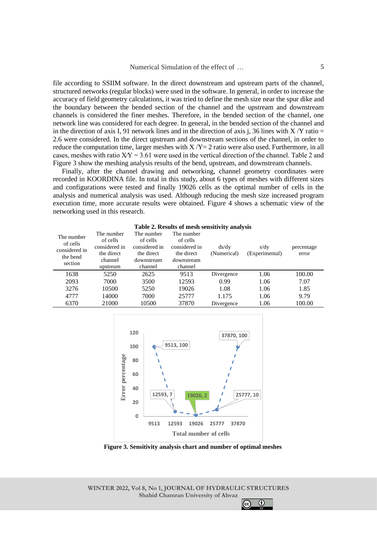file according to SSIIM software. In the direct downstream and upstream parts of the channel, structured networks (regular blocks) were used in the software. In general, in order to increase the accuracy of field geometry calculations, it was tried to define the mesh size near the spur dike and the boundary between the bended section of the channel and the upstream and downstream channels is considered the finer meshes. Therefore, in the bended section of the channel, one network line was considered for each degree. In general, in the bended section of the channel and in the direction of axis I, 91 network lines and in the direction of axis j, 36 lines with  $X/Y$  ratio = 2.6 were considered. In the direct upstream and downstream sections of the channel, in order to reduce the computation time, larger meshes with  $X/Y=2$  ratio were also used. Furthermore, in all cases, meshes with ratio  $XY = 3.61$  were used in the vertical direction of the channel. Table 2 and Figure 3 show the meshing analysis results of the bend, upstream, and downstream channels.

Finally, after the channel drawing and networking, channel geometry coordinates were recorded in KOORDINA file. In total in this study, about 6 types of meshes with different sizes and configurations were tested and finally 19026 cells as the optimal number of cells in the analysis and numerical analysis was used. Although reducing the mesh size increased program execution time, more accurate results were obtained. Figure 4 shows a schematic view of the networking used in this research.

| Table 2. Results of filesh selisitivity analysis               |                                                                              |                                                                                |                                                                                |                      |                        |                     |  |
|----------------------------------------------------------------|------------------------------------------------------------------------------|--------------------------------------------------------------------------------|--------------------------------------------------------------------------------|----------------------|------------------------|---------------------|--|
| The number<br>of cells<br>considered in<br>the bend<br>section | The number<br>of cells<br>considered in<br>the direct<br>channel<br>upstream | The number<br>of cells<br>considered in<br>the direct<br>downstream<br>channel | The number<br>of cells<br>considered in<br>the direct<br>downstream<br>channel | ds/dy<br>(Numerical) | s/dy<br>(Experimental) | percentage<br>error |  |
| 1638                                                           | 5250                                                                         | 2625                                                                           | 9513                                                                           | Divergence           | 1.06                   | 100.00              |  |
| 2093                                                           | 7000                                                                         | 3500                                                                           | 12593                                                                          | 0.99                 | 1.06                   | 7.07                |  |
| 3276                                                           | 10500                                                                        | 5250                                                                           | 19026                                                                          | 1.08                 | 1.06                   | 1.85                |  |
| 4777                                                           | 14000                                                                        | 7000                                                                           | 25777                                                                          | 1.175                | 1.06                   | 9.79                |  |
| 6370                                                           | 21000                                                                        | 10500                                                                          | 37870                                                                          | Divergence           | 1.06                   | 100.00              |  |



**Figure 3. Sensitivity analysis chart and number of optimal meshes**

**WINTER 2022, Vol 8, No 1, JOURNAL OF HYDRAULIC STRUCTURES Shahid Chamran University of Ahvaz**

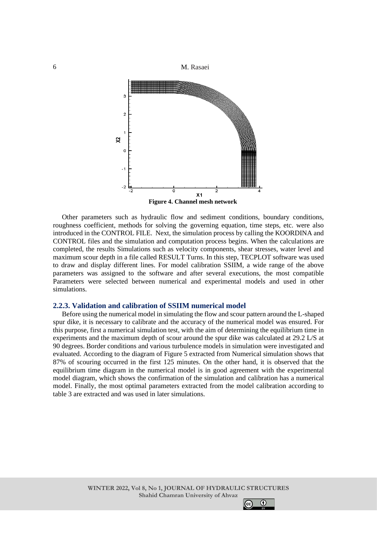

Other parameters such as hydraulic flow and sediment conditions, boundary conditions, roughness coefficient, methods for solving the governing equation, time steps, etc. were also introduced in the CONTROL FILE. Next, the simulation process by calling the KOORDINA and CONTROL files and the simulation and computation process begins. When the calculations are completed, the results Simulations such as velocity components, shear stresses, water level and maximum scour depth in a file called RESULT Turns. In this step, TECPLOT software was used to draw and display different lines. For model calibration SSIIM, a wide range of the above parameters was assigned to the software and after several executions, the most compatible Parameters were selected between numerical and experimental models and used in other simulations.

## **2.2.3. Validation and calibration of SSIIM numerical model**

Before using the numerical model in simulating the flow and scour pattern around the L-shaped spur dike, it is necessary to calibrate and the accuracy of the numerical model was ensured. For this purpose, first a numerical simulation test, with the aim of determining the equilibrium time in experiments and the maximum depth of scour around the spur dike was calculated at 29.2 L/S at 90 degrees. Border conditions and various turbulence models in simulation were investigated and evaluated. According to the diagram of Figure 5 extracted from Numerical simulation shows that 87% of scouring occurred in the first 125 minutes. On the other hand, it is observed that the equilibrium time diagram in the numerical model is in good agreement with the experimental model diagram, which shows the confirmation of the simulation and calibration has a numerical model. Finally, the most optimal parameters extracted from the model calibration according to table 3 are extracted and was used in later simulations.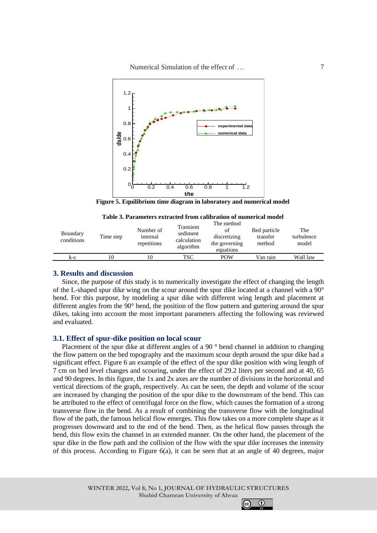Numerical Simulation of the effect of …



**Figure 5. Equilibrium time diagram in laboratory and numerical model**

| Table 3. Parameters extracted from calibration of numerical model |  |  |  |  |
|-------------------------------------------------------------------|--|--|--|--|
|-------------------------------------------------------------------|--|--|--|--|

| Boundary<br>conditions | Time step | Number of<br>internal<br>repetitions | Transient<br>sediment<br>calculation<br>algorithm | The method<br>οf<br>discretizing<br>the governing<br>equations | Bed particle<br>transfer<br>method | The<br>turbulence<br>model |
|------------------------|-----------|--------------------------------------|---------------------------------------------------|----------------------------------------------------------------|------------------------------------|----------------------------|
| k-ε                    | 10        |                                      | TSC                                               | <b>POW</b>                                                     | Van rain                           | Wall law                   |

## **3. Results and discussion**

Since, the purpose of this study is to numerically investigate the effect of changing the length of the L-shaped spur dike wing on the scour around the spur dike located at a channel with a 90° bend. For this purpose, by modeling a spur dike with different wing length and placement at different angles from the 90° bend, the position of the flow pattern and guttering around the spur dikes, taking into account the most important parameters affecting the following was reviewed and evaluated.

#### **3.1. Effect of spur-dike position on local scour**

Placement of the spur dike at different angles of a 90 ° bend channel in addition to changing the flow pattern on the bed topography and the maximum scour depth around the spur dike had a significant effect. Figure 6 an example of the effect of the spur dike position with wing length of 7 cm on bed level changes and scouring, under the effect of 29.2 liters per second and at 40, 65 and 90 degrees. In this figure, the 1x and 2x axes are the number of divisions in the horizontal and vertical directions of the graph, respectively. As can be seen, the depth and volume of the scour are increased by changing the position of the spur dike to the downstream of the bend. This can be attributed to the effect of centrifugal force on the flow, which causes the formation of a strong transverse flow in the bend. As a result of combining the transverse flow with the longitudinal flow of the path, the famous helical flow emerges. This flow takes on a more complete shape as it progresses downward and to the end of the bend. Then, as the helical flow passes through the bend, this flow exits the channel in an extended manner. On the other hand, the placement of the spur dike in the flow path and the collision of the flow with the spur dike increases the intensity of this process. According to Figure 6(a), it can be seen that at an angle of 40 degrees, major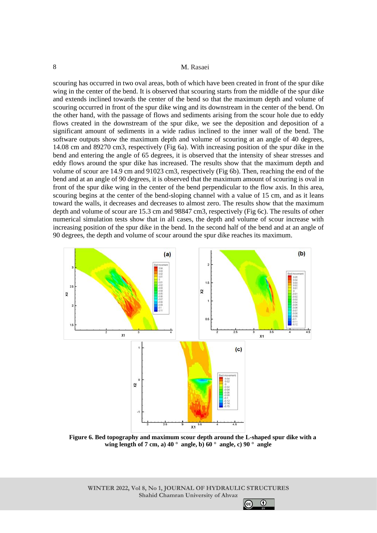scouring has occurred in two oval areas, both of which have been created in front of the spur dike wing in the center of the bend. It is observed that scouring starts from the middle of the spur dike and extends inclined towards the center of the bend so that the maximum depth and volume of scouring occurred in front of the spur dike wing and its downstream in the center of the bend. On the other hand, with the passage of flows and sediments arising from the scour hole due to eddy flows created in the downstream of the spur dike, we see the deposition and deposition of a significant amount of sediments in a wide radius inclined to the inner wall of the bend. The software outputs show the maximum depth and volume of scouring at an angle of 40 degrees, 14.08 cm and 89270 cm3, respectively (Fig 6a). With increasing position of the spur dike in the bend and entering the angle of 65 degrees, it is observed that the intensity of shear stresses and eddy flows around the spur dike has increased. The results show that the maximum depth and volume of scour are 14.9 cm and 91023 cm3, respectively (Fig 6b). Then, reaching the end of the bend and at an angle of 90 degrees, it is observed that the maximum amount of scouring is oval in front of the spur dike wing in the center of the bend perpendicular to the flow axis. In this area, scouring begins at the center of the bend-sloping channel with a value of 15 cm, and as it leans toward the walls, it decreases and decreases to almost zero. The results show that the maximum depth and volume of scour are 15.3 cm and 98847 cm3, respectively (Fig 6c). The results of other numerical simulation tests show that in all cases, the depth and volume of scour increase with increasing position of the spur dike in the bend. In the second half of the bend and at an angle of 90 degrees, the depth and volume of scour around the spur dike reaches its maximum.



**Figure 6. Bed topography and maximum scour depth around the L-shaped spur dike with a wing length of 7 cm, a) 40 ° angle, b) 60 ° angle, c) 90 ° angle**

**WINTER 2022, Vol 8, No 1, JOURNAL OF HYDRAULIC STRUCTURES Shahid Chamran University of Ahvaz**

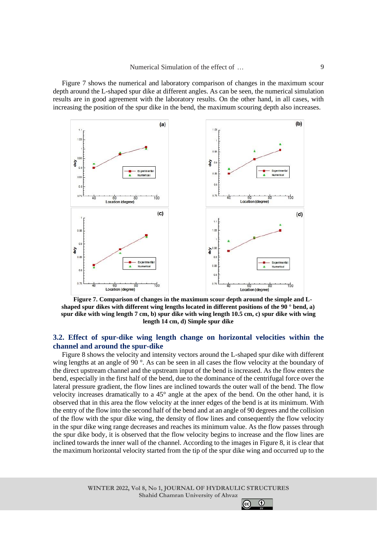Figure 7 shows the numerical and laboratory comparison of changes in the maximum scour depth around the L-shaped spur dike at different angles. As can be seen, the numerical simulation results are in good agreement with the laboratory results. On the other hand, in all cases, with increasing the position of the spur dike in the bend, the maximum scouring depth also increases.



**Figure 7. Comparison of changes in the maximum scour depth around the simple and Lshaped spur dikes with different wing lengths located in different positions of the 90 ° bend, a) spur dike with wing length 7 cm, b) spur dike with wing length 10.5 cm, c) spur dike with wing length 14 cm, d) Simple spur dike**

## **3.2. Effect of spur-dike wing length change on horizontal velocities within the channel and around the spur-dike**

Figure 8 shows the velocity and intensity vectors around the L-shaped spur dike with different wing lengths at an angle of 90 °. As can be seen in all cases the flow velocity at the boundary of the direct upstream channel and the upstream input of the bend is increased. As the flow enters the bend, especially in the first half of the bend, due to the dominance of the centrifugal force over the lateral pressure gradient, the flow lines are inclined towards the outer wall of the bend. The flow velocity increases dramatically to a 45° angle at the apex of the bend. On the other hand, it is observed that in this area the flow velocity at the inner edges of the bend is at its minimum. With the entry of the flow into the second half of the bend and at an angle of 90 degrees and the collision of the flow with the spur dike wing, the density of flow lines and consequently the flow velocity in the spur dike wing range decreases and reaches its minimum value. As the flow passes through the spur dike body, it is observed that the flow velocity begins to increase and the flow lines are inclined towards the inner wall of the channel. According to the images in Figure 8, it is clear that the maximum horizontal velocity started from the tip of the spur dike wing and occurred up to the

 $\odot$ 

 $|$ (cc)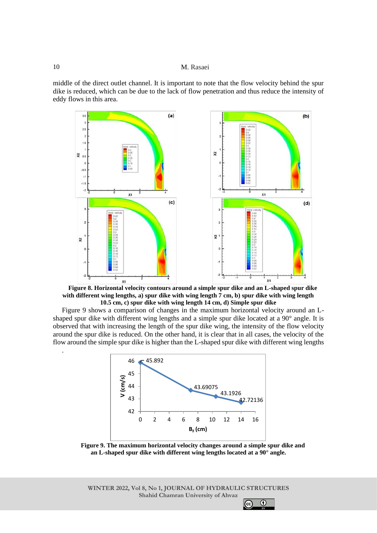middle of the direct outlet channel. It is important to note that the flow velocity behind the spur dike is reduced, which can be due to the lack of flow penetration and thus reduce the intensity of eddy flows in this area.



**Figure 8. Horizontal velocity contours around a simple spur dike and an L-shaped spur dike with different wing lengths, a) spur dike with wing length 7 cm, b) spur dike with wing length 10.5 cm, c) spur dike with wing length 14 cm, d) Simple spur dike**

Figure 9 shows a comparison of changes in the maximum horizontal velocity around an Lshaped spur dike with different wing lengths and a simple spur dike located at a 90° angle. It is observed that with increasing the length of the spur dike wing, the intensity of the flow velocity around the spur dike is reduced. On the other hand, it is clear that in all cases, the velocity of the flow around the simple spur dike is higher than the L-shaped spur dike with different wing lengths



**Figure 9. The maximum horizontal velocity changes around a simple spur dike and an L-shaped spur dike with different wing lengths located at a 90° angle.**

**WINTER 2022, Vol 8, No 1, JOURNAL OF HYDRAULIC STRUCTURES Shahid Chamran University of Ahvaz**

.

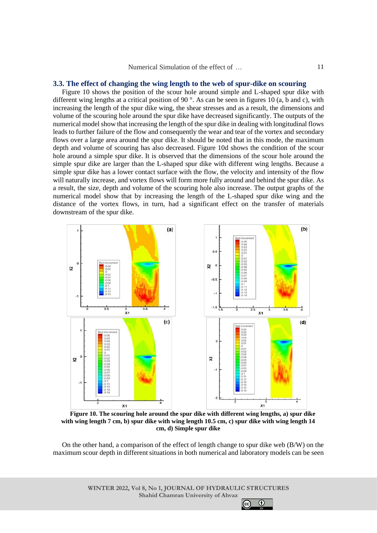#### **3.3. The effect of changing the wing length to the web of spur-dike on scouring**

Figure 10 shows the position of the scour hole around simple and L-shaped spur dike with different wing lengths at a critical position of 90 °. As can be seen in figures 10 (a, b and c), with increasing the length of the spur dike wing, the shear stresses and as a result, the dimensions and volume of the scouring hole around the spur dike have decreased significantly. The outputs of the numerical model show that increasing the length of the spur dike in dealing with longitudinal flows leads to further failure of the flow and consequently the wear and tear of the vortex and secondary flows over a large area around the spur dike. It should be noted that in this mode, the maximum depth and volume of scouring has also decreased. Figure 10d shows the condition of the scour hole around a simple spur dike. It is observed that the dimensions of the scour hole around the simple spur dike are larger than the L-shaped spur dike with different wing lengths. Because a simple spur dike has a lower contact surface with the flow, the velocity and intensity of the flow will naturally increase, and vortex flows will form more fully around and behind the spur dike. As a result, the size, depth and volume of the scouring hole also increase. The output graphs of the numerical model show that by increasing the length of the L-shaped spur dike wing and the distance of the vortex flows, in turn, had a significant effect on the transfer of materials downstream of the spur dike.



**Figure 10. The scouring hole around the spur dike with different wing lengths, a) spur dike with wing length 7 cm, b) spur dike with wing length 10.5 cm, c) spur dike with wing length 14 cm, d) Simple spur dike**

On the other hand, a comparison of the effect of length change to spur dike web (B/W) on the maximum scour depth in different situations in both numerical and laboratory models can be seen

> **WINTER 2022, Vol 8, No 1, JOURNAL OF HYDRAULIC STRUCTURES Shahid Chamran University of Ahvaz**

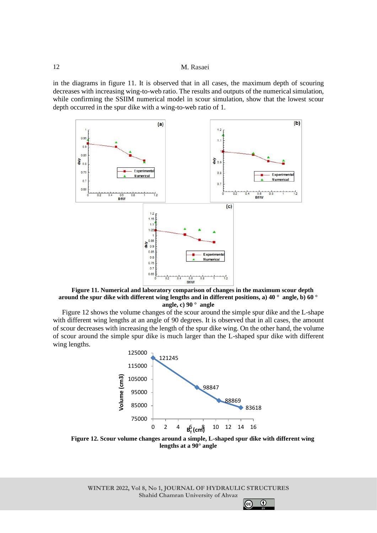in the diagrams in figure 11. It is observed that in all cases, the maximum depth of scouring decreases with increasing wing-to-web ratio. The results and outputs of the numerical simulation, while confirming the SSIIM numerical model in scour simulation, show that the lowest scour depth occurred in the spur dike with a wing-to-web ratio of 1.



**Figure 11. Numerical and laboratory comparison of changes in the maximum scour depth around the spur dike with different wing lengths and in different positions, a) 40 ° angle, b) 60 ° angle, c) 90 ° angle**

Figure 12 shows the volume changes of the scour around the simple spur dike and the L-shape with different wing lengths at an angle of 90 degrees. It is observed that in all cases, the amount of scour decreases with increasing the length of the spur dike wing. On the other hand, the volume of scour around the simple spur dike is much larger than the L-shaped spur dike with different wing lengths.



**Figure 12. Scour volume changes around a simple, L-shaped spur dike with different wing lengths at a 90° angle**

**WINTER 2022, Vol 8, No 1, JOURNAL OF HYDRAULIC STRUCTURES Shahid Chamran University of Ahvaz**

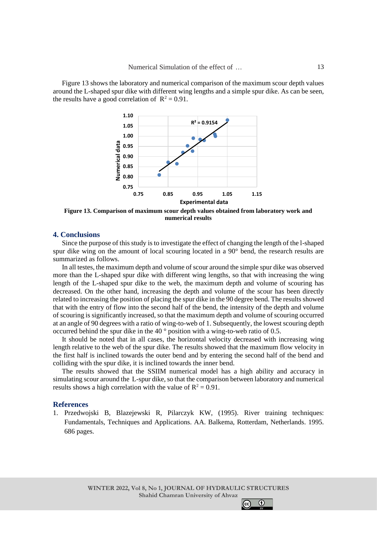Figure 13 shows the laboratory and numerical comparison of the maximum scour depth values around the L-shaped spur dike with different wing lengths and a simple spur dike. As can be seen, the results have a good correlation of  $R^2 = 0.91$ .



**Figure 13. Comparison of maximum scour depth values obtained from laboratory work and numerical results**

## **4. Conclusions**

Since the purpose of this study is to investigate the effect of changing the length of the l-shaped spur dike wing on the amount of local scouring located in a 90° bend, the research results are summarized as follows.

In all testes, the maximum depth and volume of scour around the simple spur dike was observed more than the L-shaped spur dike with different wing lengths, so that with increasing the wing length of the L-shaped spur dike to the web, the maximum depth and volume of scouring has decreased. On the other hand, increasing the depth and volume of the scour has been directly related to increasing the position of placing the spur dike in the 90 degree bend. The results showed that with the entry of flow into the second half of the bend, the intensity of the depth and volume of scouring is significantly increased, so that the maximum depth and volume of scouring occurred at an angle of 90 degrees with a ratio of wing-to-web of 1. Subsequently, the lowest scouring depth occurred behind the spur dike in the 40 ° position with a wing-to-web ratio of 0.5.

It should be noted that in all cases, the horizontal velocity decreased with increasing wing length relative to the web of the spur dike. The results showed that the maximum flow velocity in the first half is inclined towards the outer bend and by entering the second half of the bend and colliding with the spur dike, it is inclined towards the inner bend.

The results showed that the SSIIM numerical model has a high ability and accuracy in simulating scour around the L-spur dike, so that the comparison between laboratory and numerical results shows a high correlation with the value of  $R^2 = 0.91$ .

#### **References**

1. Przedwojski B, Blazejewski R, Pilarczyk KW, (1995). River training techniques: Fundamentals, Techniques and Applications. AA. Balkema, Rotterdam, Netherlands. 1995. 686 pages.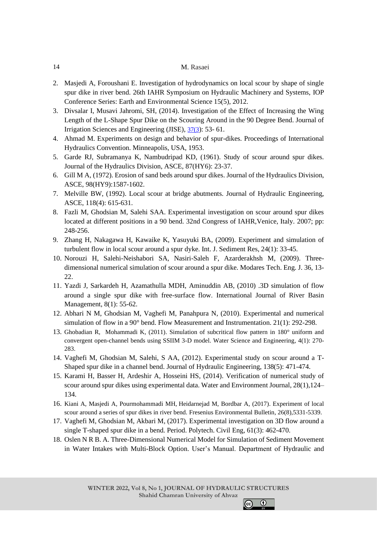- 2. Masjedi A, Foroushani E. Investigation of hydrodynamics on local scour by shape of single spur dike in river bend. 26th IAHR Symposium on Hydraulic Machinery and Systems, IOP Conference Series: Earth and Environmental Science 15(5), 2012.
- 3. Divsalar I, Musavi Jahromi, SH, (2014). Investigation of the Effect of Increasing the Wing Length of the L-Shape Spur Dike on the Scouring Around in the 90 Degree Bend. Journal of Irrigation Sciences and Engineering (JISE), [37\(3](file:///C:/Users/Administrator/Desktop/paper/37(3)): 53- 61.
- 4. Ahmad M. Experiments on design and behavior of spur-dikes. Proceedings of International Hydraulics Convention. Minneapolis, USA, 1953.
- 5. Garde RJ, Subramanya K, Nambudripad KD, (1961). Study of scour around spur dikes. Journal of the Hydraulics Division, ASCE, 87(HY6): 23-37.
- 6. Gill M A, (1972). Erosion of sand beds around spur dikes. Journal of the Hydraulics Division, ASCE, 98(HY9):1587-1602.
- 7. Melville BW, (1992). Local scour at bridge abutments. Journal of Hydraulic Engineering, ASCE, 118(4): 615-631.
- 8. Fazli M, Ghodsian M, Salehi SAA. Experimental investigation on scour around spur dikes located at different positions in a 90 bend. 32nd Congress of IAHR, Venice, Italy. 2007; pp: 248-256.
- 9. Zhang H, Nakagawa H, Kawaike K, Yasuyuki BA, (2009). Experiment and simulation of turbulent flow in local scour around a spur dyke. Int. J. Sediment Res, 24(1): 33-45.
- 10. Norouzi H, Salehi-Neishabori SA, Nasiri-Saleh F, Azarderakhsh M, (2009). Threedimensional numerical simulation of scour around a spur dike. Modares Tech. Eng. J. 36, 13- 22.
- 11. Yazdi J, Sarkardeh H, Azamathulla MDH, [Aminuddin AB, \(2010\)](https://www.tandfonline.com/author/Ghani%2C+Aminuddin+Ab) .3D simulation of flow around a single spur dike with free-surface flow. International Journal of River Basin Management, 8(1): 55-62.
- 12. Abhari N M, Ghodsian M, Vaghefi M, Panahpura N, (2010). Experimental and numerical simulation of flow in a 90° bend. Flow Measurement and Instrumentation. 21(1): 292-298.
- 13. [Ghobadian R, Mohammadi](https://www.sciencedirect.com/science/article/pii/S1674237015301617#!) K, (2011). Simulation of subcritical flow pattern in 180° uniform and convergent open-channel bends using SSIIM 3-D model. [Water Science and Engineering,](https://www.sciencedirect.com/science/journal/16742370) [4\(](https://www.sciencedirect.com/science/journal/16742370/4/3)1): 270- 283.
- 14. Vaghefi M, Ghodsian M, Salehi, S AA, (2012). Experimental study on scour around a T-Shaped spur dike in a channel bend. Journal of Hydraulic Engineering, 138(5): 471-474.
- 15. Karami H, Basser H, Ardeshir A, Hosseini HS, (2014). Verification of numerical study of scour around spur dikes using experimental data. Water and Environment Journal, 28(1),124– 134.
- 16. [Kiani A,](https://www.cabdirect.org/cabdirect/search/?q=au%3a%22Kiani%2c+A.%22) [Masjedi A,](https://www.cabdirect.org/cabdirect/search/?q=au%3a%22Masjedi%2c+A.%22) [Pourmohammadi MH,](https://www.cabdirect.org/cabdirect/search/?q=au%3a%22Pourmohammadi%2c+M.+H.%22) [Heidarnejad M,](https://www.cabdirect.org/cabdirect/search/?q=au%3a%22Heidarnejad%2c+M.%22) [Bordbar A, \(2017\).](https://www.cabdirect.org/cabdirect/search/?q=au%3a%22Bordbar%2c+A.%22) Experiment of local scour around a series of spur dikes in river bend. [Fresenius Environmental Bulletin,](https://www.cabdirect.org/cabdirect/search/?q=do%3a%22Fresenius+Environmental+Bulletin%22) 26(8),5331-5339.
- 17. Vaghefi M, Ghodsian M, Akbari M, (2017). Experimental investigation on 3D flow around a single T-shaped spur dike in a bend. Period. Polytech. Civil Eng, 61(3): 462-470.
- 18. Oslen N R B. A. Three-Dimensional Numerical Model for Simulation of Sediment Movement in Water Intakes with Multi-Block Option. User's Manual. Department of Hydraulic and